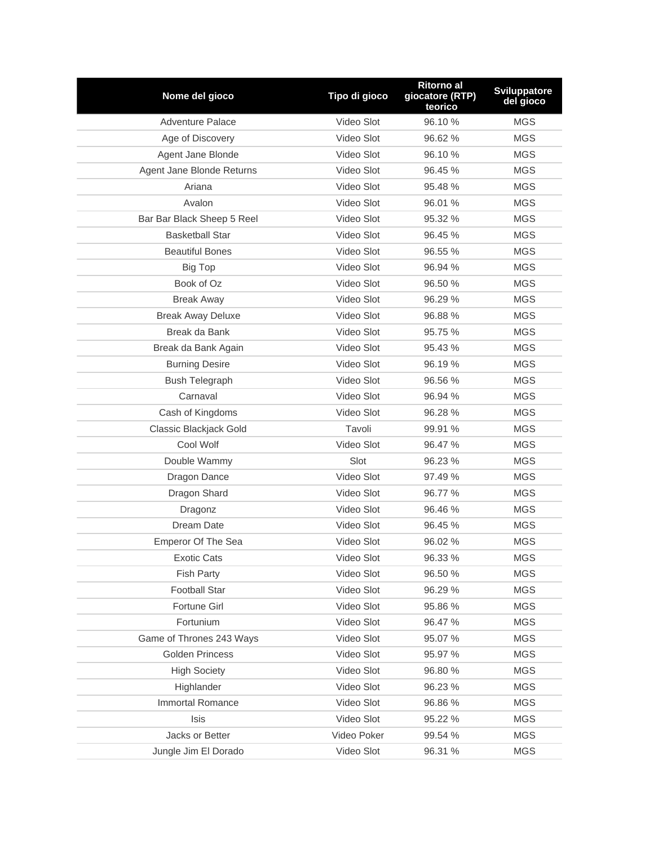| Nome del gioco             | Tipo di gioco | <b>Ritorno al</b><br>giocatore (RTP)<br>teorico | <b>Sviluppatore</b><br>del gioco |
|----------------------------|---------------|-------------------------------------------------|----------------------------------|
| <b>Adventure Palace</b>    | Video Slot    | 96.10%                                          | <b>MGS</b>                       |
| Age of Discovery           | Video Slot    | 96.62 %                                         | <b>MGS</b>                       |
| Agent Jane Blonde          | Video Slot    | 96.10%                                          | <b>MGS</b>                       |
| Agent Jane Blonde Returns  | Video Slot    | 96.45 %                                         | <b>MGS</b>                       |
| Ariana                     | Video Slot    | 95.48 %                                         | <b>MGS</b>                       |
| Avalon                     | Video Slot    | 96.01 %                                         | <b>MGS</b>                       |
| Bar Bar Black Sheep 5 Reel | Video Slot    | 95.32 %                                         | <b>MGS</b>                       |
| <b>Basketball Star</b>     | Video Slot    | 96.45 %                                         | <b>MGS</b>                       |
| <b>Beautiful Bones</b>     | Video Slot    | 96.55 %                                         | <b>MGS</b>                       |
| <b>Big Top</b>             | Video Slot    | 96.94 %                                         | <b>MGS</b>                       |
| Book of Oz                 | Video Slot    | 96.50 %                                         | <b>MGS</b>                       |
| <b>Break Away</b>          | Video Slot    | 96.29 %                                         | <b>MGS</b>                       |
| <b>Break Away Deluxe</b>   | Video Slot    | 96.88%                                          | <b>MGS</b>                       |
| Break da Bank              | Video Slot    | 95.75 %                                         | <b>MGS</b>                       |
| Break da Bank Again        | Video Slot    | 95.43 %                                         | <b>MGS</b>                       |
| <b>Burning Desire</b>      | Video Slot    | 96.19 %                                         | <b>MGS</b>                       |
| <b>Bush Telegraph</b>      | Video Slot    | 96.56 %                                         | <b>MGS</b>                       |
| Carnaval                   | Video Slot    | 96.94 %                                         | <b>MGS</b>                       |
| Cash of Kingdoms           | Video Slot    | 96.28 %                                         | <b>MGS</b>                       |
| Classic Blackjack Gold     | Tavoli        | 99.91 %                                         | <b>MGS</b>                       |
| Cool Wolf                  | Video Slot    | 96.47 %                                         | <b>MGS</b>                       |
| Double Wammy               | Slot          | 96.23 %                                         | <b>MGS</b>                       |
| Dragon Dance               | Video Slot    | 97.49 %                                         | <b>MGS</b>                       |
| Dragon Shard               | Video Slot    | 96.77 %                                         | <b>MGS</b>                       |
| Dragonz                    | Video Slot    | 96.46 %                                         | <b>MGS</b>                       |
| Dream Date                 | Video Slot    | 96.45 %                                         | <b>MGS</b>                       |
| <b>Emperor Of The Sea</b>  | Video Slot    | 96.02 %                                         | <b>MGS</b>                       |
| Exotic Cats                | Video Slot    | 96.33 %                                         | MGS                              |
| <b>Fish Party</b>          | Video Slot    | 96.50 %                                         | <b>MGS</b>                       |
| <b>Football Star</b>       | Video Slot    | 96.29 %                                         | <b>MGS</b>                       |
| Fortune Girl               | Video Slot    | 95.86 %                                         | <b>MGS</b>                       |
| Fortunium                  | Video Slot    | 96.47 %                                         | MGS                              |
| Game of Thrones 243 Ways   | Video Slot    | 95.07 %                                         | <b>MGS</b>                       |
| <b>Golden Princess</b>     | Video Slot    | 95.97 %                                         | MGS                              |
| <b>High Society</b>        | Video Slot    | 96.80 %                                         | <b>MGS</b>                       |
| Highlander                 | Video Slot    | 96.23 %                                         | MGS                              |
| Immortal Romance           | Video Slot    | 96.86 %                                         | MGS                              |
| <b>Isis</b>                | Video Slot    | 95.22 %                                         | <b>MGS</b>                       |
| Jacks or Better            | Video Poker   | 99.54 %                                         | <b>MGS</b>                       |
| Jungle Jim El Dorado       | Video Slot    | 96.31 %                                         | <b>MGS</b>                       |